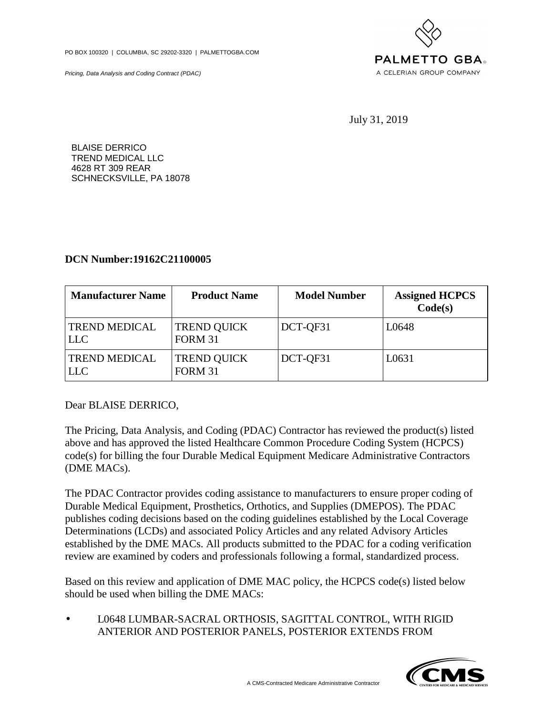PO BOX 100320 | COLUMBIA, SC 29202-3320 | PALMETTOGBA.COM

Pricing, Data Analysis and Coding Contract (PDAC)



July 31, 2019

BLAISE DERRICO TREND MEDICAL LLC 4628 RT 309 REAR SCHNECKSVILLE, PA 18078

## **DCN Number:19162C21100005**

| <b>Manufacturer Name</b>           | <b>Product Name</b>                  | <b>Model Number</b> | <b>Assigned HCPCS</b><br>Code(s) |
|------------------------------------|--------------------------------------|---------------------|----------------------------------|
| <b>TREND MEDICAL</b><br><b>LLC</b> | <b>TREND QUICK</b><br><b>FORM 31</b> | DCT-QF31            | L0648                            |
| <b>TREND MEDICAL</b><br><b>LLC</b> | <b>TREND QUICK</b><br><b>FORM 31</b> | DCT-QF31            | L0631                            |

Dear BLAISE DERRICO,

The Pricing, Data Analysis, and Coding (PDAC) Contractor has reviewed the product(s) listed above and has approved the listed Healthcare Common Procedure Coding System (HCPCS) code(s) for billing the four Durable Medical Equipment Medicare Administrative Contractors (DME MACs).

The PDAC Contractor provides coding assistance to manufacturers to ensure proper coding of Durable Medical Equipment, Prosthetics, Orthotics, and Supplies (DMEPOS). The PDAC publishes coding decisions based on the coding guidelines established by the Local Coverage Determinations (LCDs) and associated Policy Articles and any related Advisory Articles established by the DME MACs. All products submitted to the PDAC for a coding verification review are examined by coders and professionals following a formal, standardized process.

Based on this review and application of DME MAC policy, the HCPCS code(s) listed below should be used when billing the DME MACs:

• L0648 LUMBAR-SACRAL ORTHOSIS, SAGITTAL CONTROL, WITH RIGID ANTERIOR AND POSTERIOR PANELS, POSTERIOR EXTENDS FROM

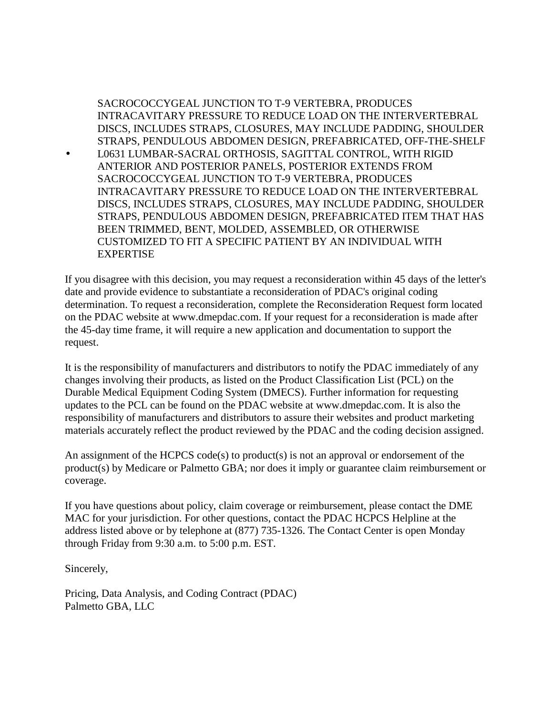SACROCOCCYGEAL JUNCTION TO T-9 VERTEBRA, PRODUCES INTRACAVITARY PRESSURE TO REDUCE LOAD ON THE INTERVERTEBRAL DISCS, INCLUDES STRAPS, CLOSURES, MAY INCLUDE PADDING, SHOULDER STRAPS, PENDULOUS ABDOMEN DESIGN, PREFABRICATED, OFF-THE-SHELF • L0631 LUMBAR-SACRAL ORTHOSIS, SAGITTAL CONTROL, WITH RIGID ANTERIOR AND POSTERIOR PANELS, POSTERIOR EXTENDS FROM SACROCOCCYGEAL JUNCTION TO T-9 VERTEBRA, PRODUCES INTRACAVITARY PRESSURE TO REDUCE LOAD ON THE INTERVERTEBRAL DISCS, INCLUDES STRAPS, CLOSURES, MAY INCLUDE PADDING, SHOULDER STRAPS, PENDULOUS ABDOMEN DESIGN, PREFABRICATED ITEM THAT HAS BEEN TRIMMED, BENT, MOLDED, ASSEMBLED, OR OTHERWISE CUSTOMIZED TO FIT A SPECIFIC PATIENT BY AN INDIVIDUAL WITH EXPERTISE

If you disagree with this decision, you may request a reconsideration within 45 days of the letter's date and provide evidence to substantiate a reconsideration of PDAC's original coding determination. To request a reconsideration, complete the Reconsideration Request form located on the PDAC website at www.dmepdac.com. If your request for a reconsideration is made after the 45-day time frame, it will require a new application and documentation to support the request.

It is the responsibility of manufacturers and distributors to notify the PDAC immediately of any changes involving their products, as listed on the Product Classification List (PCL) on the Durable Medical Equipment Coding System (DMECS). Further information for requesting updates to the PCL can be found on the PDAC website at www.dmepdac.com. It is also the responsibility of manufacturers and distributors to assure their websites and product marketing materials accurately reflect the product reviewed by the PDAC and the coding decision assigned.

An assignment of the HCPCS code(s) to product(s) is not an approval or endorsement of the product(s) by Medicare or Palmetto GBA; nor does it imply or guarantee claim reimbursement or coverage.

If you have questions about policy, claim coverage or reimbursement, please contact the DME MAC for your jurisdiction. For other questions, contact the PDAC HCPCS Helpline at the address listed above or by telephone at (877) 735-1326. The Contact Center is open Monday through Friday from 9:30 a.m. to 5:00 p.m. EST.

Sincerely,

Pricing, Data Analysis, and Coding Contract (PDAC) Palmetto GBA, LLC